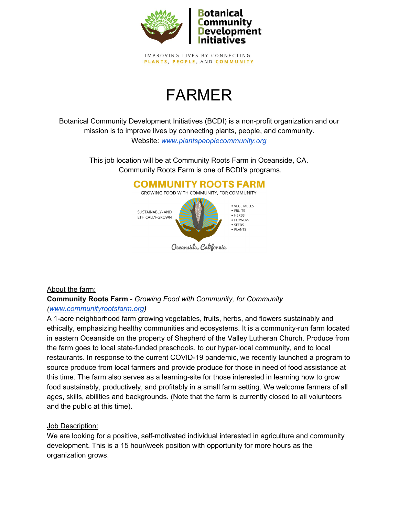

IMPROVING LIVES BY CONNECTING PLANTS, PEOPLE, AND COMMUNITY

# FARMER

Botanical Community Development Initiatives (BCDI) is a non-profit organization and our mission is to improve lives by connecting plants, people, and community. Website*: [www.plantspeoplecommunity.org](http://www.plantspeoplecommunity.org/)*

> This job location will be at Community Roots Farm in Oceanside, CA. Community Roots Farm is one of BCDI's programs.

#### **COMMUNITY ROOTS FARM** GROWING FOOD WITH COMMUNITY, FOR COMMUNITY





# About the farm:

# **Community Roots Farm** - *Growing Food with Community, for Community ([www.communityrootsfarm.org](https://employer.gradleaders.com/MiraCosta/Employers/Authenticated/Jobs/www.communityrootsfarm.org))*

A 1-acre neighborhood farm growing vegetables, fruits, herbs, and flowers sustainably and ethically, emphasizing healthy communities and ecosystems. It is a community-run farm located in eastern Oceanside on the property of Shepherd of the Valley Lutheran Church. Produce from the farm goes to local state-funded preschools, to our hyper-local community, and to local restaurants. In response to the current COVID-19 pandemic, we recently launched a program to source produce from local farmers and provide produce for those in need of food assistance at this time. The farm also serves as a learning-site for those interested in learning how to grow food sustainably, productively, and profitably in a small farm setting. We welcome farmers of all ages, skills, abilities and backgrounds. (Note that the farm is currently closed to all volunteers and the public at this time).

# Job Description:

We are looking for a positive, self-motivated individual interested in agriculture and community development. This is a 15 hour/week position with opportunity for more hours as the organization grows.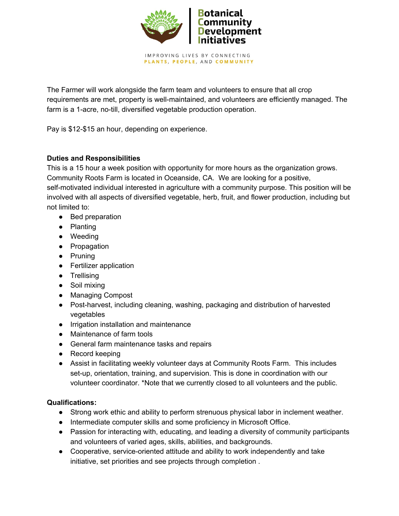

IMPROVING LIVES BY CONNECTING PLANTS, PEOPLE, AND COMMUNITY

The Farmer will work alongside the farm team and volunteers to ensure that all crop requirements are met, property is well-maintained, and volunteers are efficiently managed. The farm is a 1-acre, no-till, diversified vegetable production operation.

Pay is \$12-\$15 an hour, depending on experience.

# **Duties and Responsibilities**

This is a 15 hour a week position with opportunity for more hours as the organization grows.

Community Roots Farm is located in Oceanside, CA. We are looking for a positive,

self-motivated individual interested in agriculture with a community purpose. This position will be involved with all aspects of diversified vegetable, herb, fruit, and flower production, including but not limited to:

- Bed preparation
- Planting
- Weeding
- Propagation
- Pruning
- Fertilizer application
- Trellising
- Soil mixing
- Managing Compost
- Post-harvest, including cleaning, washing, packaging and distribution of harvested vegetables
- Irrigation installation and maintenance
- Maintenance of farm tools
- General farm maintenance tasks and repairs
- Record keeping
- Assist in facilitating weekly volunteer days at Community Roots Farm. This includes set-up, orientation, training, and supervision. This is done in coordination with our volunteer coordinator. \*Note that we currently closed to all volunteers and the public.

# **Qualifications:**

- Strong work ethic and ability to perform strenuous physical labor in inclement weather.
- Intermediate computer skills and some proficiency in Microsoft Office.
- Passion for interacting with, educating, and leading a diversity of community participants and volunteers of varied ages, skills, abilities, and backgrounds.
- Cooperative, service-oriented attitude and ability to work independently and take initiative, set priorities and see projects through completion .